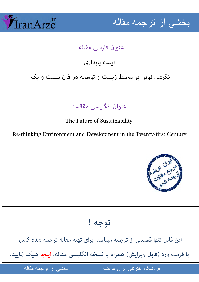



## عنوان فارسی مقاله : آینده یایداری

نگرشی نوین بر محیط زیست و توسعه در قرن بیست و یک

عنوان انگلیسی مقاله :

The Future of Sustainability:

Re-thinking Environment and Development in the Twenty-first Century



توجه !

این فایل تنها قسمتی از ترجمه میباشد. برای تهیه مقاله ترجمه شده کامل با فرمت ورد (قابل ویرایش) همراه با نسخه انگلیسی مقاله، اینجا کلیک مَایید.

فروشگاه اینترنتی ایران عرضه

ضه مقاله از نرجمه مقاله